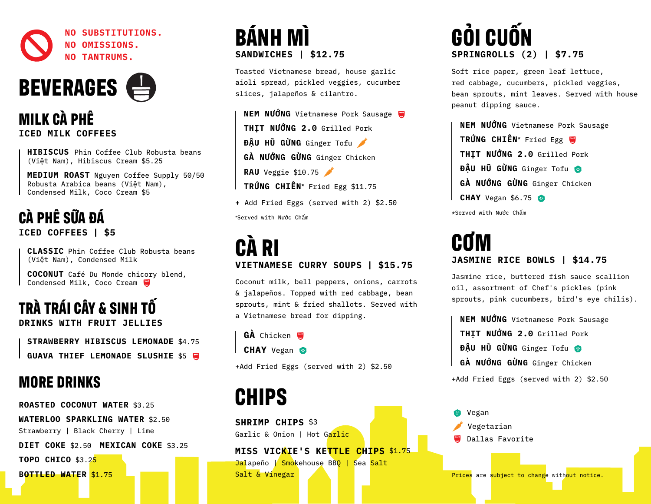



**MILK CÀ PHÊ ICED MILK COFFEES**

 **HIBISCUS** Phin Coffee Club Robusta beans (Việt Nam), Hibiscus Cream \$5.25

 **MEDIUM ROAST** Nguyen Coffee Supply 50/50 Robusta Arabica beans (Việt Nam), Condensed Milk, Coco Cream \$5

#### **CÀ PHÊ SỮA ĐÁ ICED COFFEES | \$5**

 **CLASSIC** Phin Coffee Club Robusta beans (Việt Nam), Condensed Milk

 **COCONUT** Café Du Monde chicory blend, Condensed Milk, Coco Cream

# **TRÀ TRÁI CÂY & SINH TỐ**

**DRINKS WITH FRUIT JELLIES**

 **STRAWBERRY HIBISCUS LEMONADE** \$4.75 **GUAVA THIEF LEMONADE SLUSHIE \$5 WWW** 

#### **MORE DRINKS**

**ROASTED COCONUT WATER** \$3.25 **WATERLOO SPARKLING WATER** \$2.50 Strawberry | Black Cherry | Lime

**DIET COKE** \$2.50 **MEXICAN COKE** \$3.25

**TOPO CHICO** \$3.25

**BOTTLED WATER** \$1.75

# **BÁNH MÌ SANDWICHES | \$12.75**

Toasted Vietnamese bread, house garlic aioli spread, pickled veggies, cucumber slices, jalapeños & cilantro.

 **NEM NƯỚNG** Vietnamese Pork Sausage **THỊT NƯỚNG 2.0** Grilled Pork **ĐẬU HŨ GỪNG** Ginger Tofu **GÀ NƯỚNG GỪNG** Ginger Chicken **RAU** Veggie \$10.75 **TRỨNG CHIÊN\*** Fried Egg \$11.75

**+** Add Fried Eggs (served with 2) \$2.50 \*Served with Nước Chấm

#### **CÀ RI VIETNAMESE CURRY SOUPS | \$15.75**

Coconut milk, bell peppers, onions, carrots & jalapeños. Topped with red cabbage, bean sprouts, mint & fried shallots. Served with a Vietnamese bread for dipping.

**GÀ** Chicken

**CHAY** Vegan

+Add Fried Eggs (served with 2) \$2.50

# **CHIPS**

**SHRIMP CHIPS** \$3 Garlic & Onion | Hot Garlic

**MISS VICKIE'S KETTLE CHIPS** \$1.75 Jalapeño | Smokehouse BBQ | Sea Salt Salt & Vinegar

# **GỎI CUỐN SPRINGROLLS (2) | \$7.75**

Soft rice paper, green leaf lettuce, red cabbage, cucumbers, pickled veggies, bean sprouts, mint leaves. Served with house peanut dipping sauce.

 **NEM NƯỚNG** Vietnamese Pork Sausage **TRỨNG CHIÊN\*** Fried Egg **THỊT NƯỚNG 2.0** Grilled Pork **ĐẬU HŨ GỪNG** Ginger Tofu **GÀ NƯỚNG GỪNG** Ginger Chicken **CHAY** Vegan \$6.75 \*Served with Nước Chấm

#### **CƠM JASMINE RICE BOWLS | \$14.75**

Jasmine rice, buttered fish sauce scallion oil, assortment of Chef's pickles (pink sprouts, pink cucumbers, bird's eye chilis).

 **NEM NƯỚNG** Vietnamese Pork Sausage **THỊT NƯỚNG 2.0** Grilled Pork **ĐẬU HŨ GỪNG** Ginger Tofu **GÀ NƯỚNG GỪNG** Ginger Chicken

+Add Fried Eggs (served with 2) \$2.50

 Vegan Vegetarian **W** Dallas Favorite

Prices are subject to change without notice.